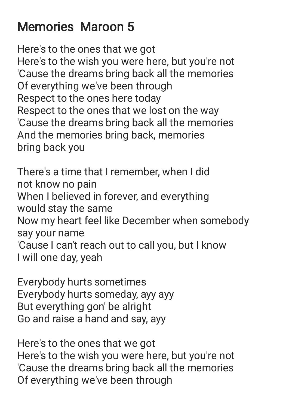## Memories Maroon 5

Here's to the ones that we got Here's to the wish you were here, but you're not 'Cause the dreams bring back all the memories Of everything we've been through Respect to the ones here today Respect to the ones that we lost on the way 'Cause the dreams bring back all the memories And the memories bring back, memories bring back you

There's a time that I remember, when I did not know no pain When I believed in forever, and everything would stay the same Now my heart feel like December when somebody say your name 'Cause I can't reach out to call you, but I know I will one day, yeah

Everybody hurts sometimes Everybody hurts someday, ayy ayy But everything gon' be alright Go and raise a hand and say, ayy

Here's to the ones that we got Here's to the wish you were here, but you're not 'Cause the dreams bring back all the memories Of everything we've been through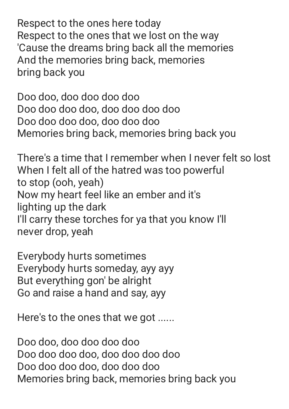Respect to the ones here today Respect to the ones that we lost on the way 'Cause the dreams bring back all the memories And the memories bring back, memories bring back you

Doo doo, doo doo doo doo Doo doo doo doo, doo doo doo doo Doo doo doo doo, doo doo doo Memories bring back, memories bring back you

There's a time that I remember when I never felt so lost When I felt all of the hatred was too powerful to stop (ooh, yeah) Now my heart feel like an ember and it's lighting up the dark I'll carry these torches for ya that you know I'll never drop, yeah

Everybody hurts sometimes Everybody hurts someday, ayy ayy But everything gon' be alright Go and raise a hand and say, ayy

Here's to the ones that we got ......

Doo doo, doo doo doo doo Doo doo doo doo, doo doo doo doo Doo doo doo doo, doo doo doo Memories bring back, memories bring back you